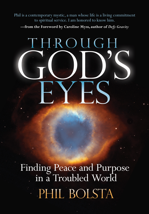Phil is a contemporary mystic, a man whose life is a living commitment to spiritual service. I am honored to know him.

-from the Foreword by Caroline Myss, author of Defy Gravity

# THROUGH

Finding Peace and Purpose<br>in a Troubled World · PHIL BOLSTA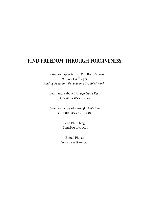# **FIND FREEDOM THROUGH FORGIVENESS**

This sample chapter is from Phil Bolsta's book, *Through God's Eyes: Finding Peace and Purpose in a Troubled World*

Learn more about *Through God's Eyes* [GodsEyesBook.com](http://www.godseyesbook.com)

Order your copy of *Through God's Eyes* [GodsEyesAmazon.com](http://www.godseyesamazon.com)

> Visit Phil's blog [PhilBolsta.com](http://www.philbolsta.com)

E-mail Phil at GodsEyes@me.com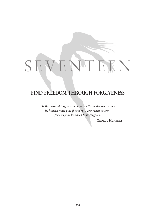# SEVENTEEN

# **FIND FREEDOM THROUGH FORGIVENESS**

*He that cannot forgive others breaks the bridge over which he himself must pass if he would ever reach heaven; for everyone has need to be forgiven.*

—George Herbert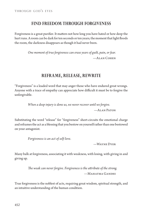### **FIND FREEDOM THROUGH FORGIVENESS**

Forgiveness is a great purifier. It matters not how long you have hated or how deep the hurt runs. A room can be dark for ten seconds or ten years; the moment that light floods the room, the darkness disappears as though it had never been.

> *One moment of true forgiveness can erase years of guilt, pain, or fear.* —Alan Cohen

### **REFRAME, RELEASE, REWRITE**

"Forgiveness" is a loaded word that may anger those who have endured great wrongs. Anyone with a trace of empathy can appreciate how difficult it must be to forgive the unforgivable.

*When a deep injury is done us, we never recover until we forgive.*

—Alan Paton

Substituting the word "release" for "forgiveness" short-circuits the emotional charge and reframes the act as a blessing that you bestow on yourself rather than one bestowed on your antagonist.

*Forgiveness is an act of self-love.*

—Wayne Dyer

Many balk at forgiveness, associating it with weakness, with losing, with giving in and giving up.

> *The weak can never forgive. Forgiveness is the attribute of the strong.* —Mahatma Gandhi

True forgiveness is the noblest of acts, requiring great wisdom, spiritual strength, and an intuitive understanding of the human condition.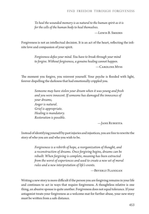*To heal the wounded memory is as natural to the human spirit as it is for the cells of the human body to heal themselves.*

—Lewis B. Smedes

Forgiveness is not an intellectual decision. It is an act of the heart, reflecting the infinite love and compassion of your spirit.

> *Forgiveness defies your mind. You have to break through your mind to forgive. Without forgiveness, a genuine healing cannot happen.* —Caroline Myss

The moment you forgive, you reinvent yourself. Your psyche is flooded with light, forever dispelling the darkness that had emotionally crippled you.

> *Someone may have stolen your dream when it was young and fresh and you were innocent. If someone has damaged the innocence of your dreams, Anger is natural. Grief is appropriate. Healing is mandatory. Restoration is possible.*

> > —Jane Rubietta

Instead of identifying yourself by past injuries and injustices, you are free to rewrite the story of who you are and who you wish to be.

> *Forgiveness is a rebirth of hope, a reorganization of thought, and a reconstruction of dreams. Once forgiving begins, dreams can be rebuilt. When forgiving is complete, meaning has been extracted from the worst of experiences and used to create a new set of moral rules and a new interpretation of life's events.*

> > —Beverly Flanigan

Writing a new story is more difficult if the person you are forgiving remains in your life and continues to act in ways that require forgiveness. A thoughtless relative is one thing, an abusive spouse is quite another. Forgiveness does not equal tolerance. If your antagonist treats your forgiveness as a welcome mat for further abuse, your new story must be written from a safe distance.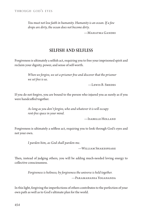*You must not lose faith in humanity. Humanity is an ocean. If a few drops are dirty, the ocean does not become dirty.*

—Mahatma Gandhi

### **SELFISH AND SELFLESS**

Forgiveness is ultimately a selfish act, requiring you to free your imprisoned spirit and reclaim your dignity, power, and sense of self-worth.

> *When we forgive, we set a prisoner free and discover that the prisoner we set free is us.*

> > —Lewis B. Smedes

If you do not forgive, you are bound to the person who injured you as surely as if you were handcuffed together.

> *As long as you don't forgive, who and whatever it is will occupy rent-free space in your mind.*

> > —Isabelle Holland

Forgiveness is ultimately a selfless act, requiring you to look through God's eyes and not your own.

*I pardon him, as God shall pardon me.*

—William Shakespeare

Then, instead of judging others, you will be adding much-needed loving energy to collective consciousness.

> *Forgiveness is holiness; by forgiveness the universe is held together.* —Paramahansa Yogananda

In this light, forgiving the imperfections of others contributes to the perfection of your own path as well as to God's ultimate plan for the world.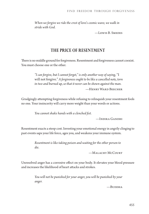*When we forgive we ride the crest of love's cosmic wave; we walk in stride with God.*

—Lewis B. Smedes

### **THE PRICE OF RESENTMENT**

There is no middle ground for forgiveness. Resentment and forgiveness cannot coexist. You must choose one or the other.

> *"I can forgive, but I cannot forget," is only another way of saying,* "I will not forgive." *A forgiveness ought to be like a cancelled note, torn in two and burned up, so that it never can be shown against the man.*

> > —Henry Ward Beecher

Grudgingly attempting forgiveness while refusing to relinquish your resentment fools no one. Your insincerity will carry more weight than your words or actions.

*You cannot shake hands with a clenched fist.*

—Indira Gandhi

Resentment exacts a steep cost. Investing your emotional energy in angrily clinging to past events saps your life force, ages you, and weakens your immune system.

> *Resentment is like taking poison and waiting for the other person to die.*

> > —Malachy McCourt

Unresolved anger has a corrosive effect on your body. It elevates your blood pressure and increases the likelihood of heart attacks and strokes.

> *You will not be punished for your anger, you will be punished by your anger.*

> > $-B$ uddha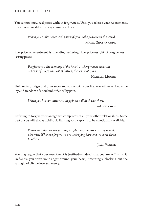You cannot know real peace without forgiveness. Until you release your resentments, the external world will always remain a threat.

> *When you make peace with yourself, you make peace with the world.* —Maha Ghosananda

The price of resentment is unending suffering. The priceless gift of forgiveness is lasting peace.

> *Forgiveness is the economy of the heart. . . . Forgiveness saves the expense of anger, the cost of hatred, the waste of spirits.*

> > —Hannah Moore

Hold on to grudges and grievances and you restrict your life. You will never know the joy and freedom of a soul unburdened by pain.

*When you harbor bitterness, happiness will dock elsewhere.*

—Unknown

Refusing to forgive your antagonist compromises all your other relationships. Some part of you will always hold back, limiting your capacity to be emotionally available.

> *When we judge, we are pushing people away; we are creating a wall, a barrier. When we forgive we are destroying barriers; we come closer to others.*

> > —Jean Vanier

You may argue that your resentment is justified—indeed, that you are *entitled* to it. Defiantly, you wrap your anger around your heart, unwittingly blocking out the sunlight of Divine love and mercy.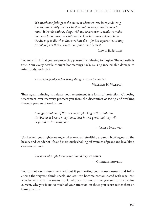*We attach our feelings to the moment when we were hurt, endowing it with immortality. And we let it assault us every time it comes to mind. It travels with us, sleeps with us, hovers over us while we make love, and broods over us while we die. Our hate does not even have the decency to die when those we hate die—for it is a parasite sucking*  our *blood, not theirs. There is only one remedy for it.*

—Lewis B. Smedes

You may think that you are protecting yourself by refusing to forgive. The opposite is true: Your every hostile thought boomerangs back, causing incalculable damage to mind, body, and spirit.

> *To carry a grudge is like being stung to death by one bee.* —William H. Walton

Then again, refusing to release your resentment *is* a form of protection. Choosing resentment over recovery protects you from the discomfort of facing and working through your emotional trauma.

> *I imagine that one of the reasons people cling to their hates so stubbornly is because they sense, once hate is gone, that they will be forced to deal with pain.*

> > —James Baldwin

Unchecked, your righteous anger takes root and stealthily expands, blotting out all the beauty and wonder of life, and insidiously choking off avenues of peace and love like a cancerous tumor.

*The man who opts for revenge should dig two graves.*

—Chinese proverb

You cannot carry resentment without it permeating your consciousness and influencing the way you think, speak, and act. You become contaminated with rage. You wonder why your life seems stuck, why you cannot attune yourself to the Divine current, why you focus so much of your attention on those you scorn rather than on those you love.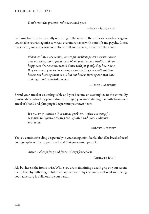*Don't ruin the present with the ruined past.*

—Ellen Gilchrist

By living like this, by mentally returning to the scene of the crime over and over again, you enable your antagonist to wreak ever more havoc with your life and psyche. Like a marionette, you allow someone else to pull your strings, even from the grave.

> *When we hate our enemies, we are giving them power over us: power over our sleep, our appetites, our blood pressure, our health, and our happiness. Our enemies would dance with joy if only they knew how they were worrying us, lacerating us, and getting even with us! Our hate is not hurting them at all, but our hate is turning our own days and nights into a hellish turmoil.*

> > —Dale Carnegie

Brand your attacker as unforgivable and you become an accomplice to the crime. By passionately defending your hatred and anger, you are snatching the knife from your attacker's hand and plunging it deeper into your own heart.

> *It's not only injustice that causes problems; often our vengeful response to injustice creates even greater and more enduring problems.*

> > —Robert Enright

Yet you continue to cling desperately to your antagonist, fearful that if he breaks free of your grasp he will go unpunished, and *that* you cannot permit.

*Anger is always fear, and fear is always fear of loss.*

—Richard Bach

Ah, but here is the ironic twist. While you are maintaining a death grip on your resentment, thereby inflicting untold damage on your physical and emotional well-being, your adversary is oblivious to your wrath.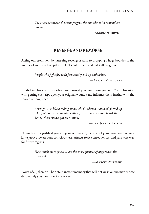*The one who throws the stone forgets; the one who is hit remembers forever.*

—Angolan proverb

### **REVENGE AND REMORSE**

Acting on resentment by pursuing revenge is akin to dropping a huge boulder in the middle of your spiritual path. It blocks out the sun and halts all progress.

*People who fight fire with fire usually end up with ashes.*

—Abigail Van Buren

By striking back at those who have harmed you, you harm yourself. Your obsession with getting even rips open your original wounds and inflames them further with the venom of vengeance.

> *Revenge . . . is like a rolling stone, which, when a man hath forced up a hill, will return upon him with a greater violence, and break those bones whose sinews gave it motion.*

> > —Rev. Jeremy Taylor

No matter how justified you feel your actions are, meting out your own brand of vigilante justice lowers your consciousness, attracts toxic consequences, and paves the way for future regrets.

> *How much more grievous are the consequences of anger than the causes of it.*

> > —Marcus Aurelius

Worst of all, there will be a stain in your memory that will not wash out no matter how desperately you scour it with remorse.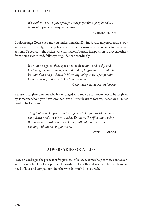*If the other person injures you, you may forget the injury; but if you injure him you will always remember.*

—Kahlil Gibran

Look through God's eyes and you understand that Divine justice may not require your assistance. Ultimately, the perpetrator will be held karmically responsible for his or her actions. Of course, if the action was criminal or if you are in a position to prevent others from being victimized, follow your guidance accordingly.

> *If a man sin against thee, speak peaceably to him, and in thy soul hold not guile; and if he repent and confess, forgive him. . . . But if he be shameless and persisteth in his wrong-doing, even so forgive him from the heart, and leave to God the avenging.*

> > —Gad, the ninth son of Jacob

Refuse to forgive someone who has wronged you, and you cannot expect to be forgiven by someone whom you have wronged. We all must learn to forgive, just as we all must need to be forgiven.

> *The gift of being forgiven and love's power to forgive are like yin and yang. Each needs the other to exist. To receive the gift without using the power is absurd; it is like exhaling without inhaling or like walking without moving your legs.*

> > —Lewis B. Smedes

### **ADVERSARIES OR ALLIES**

How do you begin the process of forgiveness, of release? It may help to view your adversary in a new light: not as a powerful monster, but as a flawed, insecure human being in need of love and compassion. In other words, much like yourself.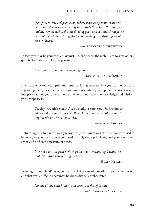*If only there were evil people somewhere insidiously committing evil deeds, and it were necessary only to separate them from the rest of us and destroy them. But the line dividing good and evil cuts through the heart of every human being. And who is willing to destroy a piece of his own heart?*

—Aleksandr Solzhenitsyn

In fact, you may be your own antagonist. Resentment is the inability to forgive others; guilt is the inability to forgive yourself.

*Every guilty person is his own hangman.*

—Lucius Annaeus Seneca

If you are wracked with guilt and remorse, it may help to view your former self as a separate person, as someone who no longer resembles you, a person whose sense of integrity had not yet fully formed and who did not have the knowledge and wisdom you now possess.

> *The day the child realizes that all adults are imperfect, he becomes an adolescent; the day he forgives them, he becomes an adult; the day he forgives himself, he becomes wise.*

> > —Alden Nowlan

Reframing your transgression by recognizing the limitations of the person you used to be may give you the distance you need to apply these principles, heal your emotional scars, and find some measure of peace.

> *I do not want the peace which passeth understanding. I want the understanding which bringeth peace.*

> > —Helen Keller

Looking through God's eyes, you realize that adversarial relationships are an illusion, and that every difficult encounter has been divinely orchestrated.

> *No one at one with himself can even conceive of conflict.* —A Course in Miracles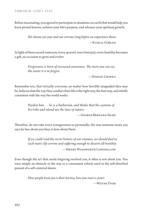Before incarnating, you agreed to participate in situations on earth that would help you learn pivotal lessons, achieve your life's purpose, and advance your spiritual growth.

> *We choose our joys and our sorrows long before we experience them.* —Kahlil Gibran

In light of these sacred contracts, every quarrel, every betrayal, every hostility becomes a gift, an occasion to grow and evolve.

> *Forgiveness is born of increased awareness. The more you can see, the easier it is to forgive.*

> > —Deepak Chopra

Remember too, that virtually everyone, no matter how horribly misguided they may be, believes that the way they conduct their life is the right way, the best way, and wholly consistent with the way the world works.

> *Pardon him . . . he is a barbarian, and thinks that the customs of his tribe and island are the laws of nature.*

> > —George Bernard Shaw

Therefore, do not take every transgression so personally; the way someone treats you says far less about you than it does about them.

> *If we could read the secret history of our enemies, we should find in each man's life sorrow and suffering enough to disarm all hostility.*

> > —Henry Wadsworth Longfellow

Even though the act that needs forgiving *involved* you, it often is not *about* you. You were simply an obstacle in the way or a convenient vehicle used in the self-absorbed pursuit of a self-centered desire.

*How people treat you is their karma; how you react is yours.*

—Wayne Dyer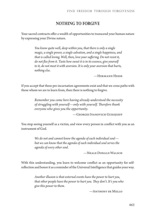### **NOTHING TO FORGIVE**

Your sacred contracts offer a wealth of opportunities to transcend your human nature by expressing your Divine nature.

> *You know quite well, deep within you, that there is only a single magic, a single power, a single salvation, and a single happiness, and that is called loving. Well, then, love your suffering. Do not resist it, do not flee from it. Taste how sweet it is in its essence, give yourself to it, do not meet it with aversion. It is only your aversion that hurts, nothingelse.*

> > —Hermann Hesse

If you accept that these pre-incarnation agreements exist and that we cross paths with those whom we are to learn from, then there is nothing to forgive.

> *Remember you come here having already understood the necessity of struggling with yourself—only with yourself. Therefore thank everyone who gives you the opportunity.*

> > —Georges Ivanovich Gurdjieff

You stop seeing yourself as a victim, and view every person in conflict with you as an instrument of God.

> *We do not and cannot know the agenda of each individual soul but we can know that the agenda of each individual soul serves the agenda of every other soul.*

> > —Neale Donald Walsch

With this understanding, you learn to welcome conflict as an opportunity for selfreflection and honor it as a reminder of the Universal Intelligence that guides your way.

> *Another illusion is that external events have the power to hurt you, that other people have the power to hurt you. They don't. It's you who give this power to them.*

> > —Anthony de Mello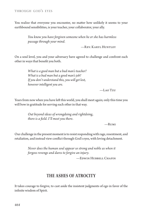You realize that everyone you encounter, no matter how unlikely it seems to your earthbound sensibilities, is your teacher, your collaborator, your ally.

> *You know you have forgiven someone when he or she has harmless passage through your mind.*

> > —Rev. Karyl Huntley

On a soul level, you and your adversary have agreed to challenge and confront each other in ways that benefit you both.

> *What is a good man but a bad man's teacher? What is a bad man but a good man's job? If you don't understand this, you will get lost, however intelligent you are.*

> > —Lao Tzu

Years from now when you have left this world, you shall meet again; only this time you will bow in gratitude for serving each other in that way.

> *Out beyond ideas of wrongdoing and rightdoing, there is a field. I'll meet you there.*

> > —Rumi

Our challenge in the present moment is to resist responding with rage, resentment, and retaliation, and instead view conflict through God's eyes, with loving detachment.

> *Never does the human soul appear so strong and noble as when it forgoes revenge and dares to forgive an injury.*

> > —Edwin Hubbell Chapin

### **THE ASHES OF ATROCITY**

It takes courage to forgive, to cast aside the insistent judgments of ego in favor of the infinite wisdom of Spirit.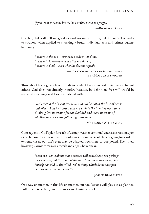*If you want to see the brave, look at those who can forgive.*

—Bhagavad Gita

Granted, that is all well and good for garden-variety dustups, but the concept is harder to swallow when applied to shockingly brutal individual acts and crimes against humanity.

> *I believe in the sun—even when it does not shine; I believe in love—even when it is not shown; I believe in God—even when he does not speak.* —Scratched into a basement wall by a Holocaust victim

Throughout history, people with malicious intent have exercised their free will to hurt others. God does not directly interfere because, by definition, free will would be rendered meaningless if it were interfered with.

> *God created the law of free will, and God created the law of cause and effect. And he himself will not violate the law. We need to be thinking less in terms of what God did and more in terms of whether or not we are following those laws.*

> > —Marianne Williamson

Consequently, God's plan for each of us may weather continual course corrections, just as each move on a chess board reconfigures our universe of choices going forward. In extreme cases, our life's plan may be adapted, rewritten, or postponed. Even then, however, karmic forces are at work and angels hover near.

> *It can even come about that a created will cancels out, not perhaps the* exertion*, but the result of divine action; for in this sense, God himself has told us that God wishes things which do not happen because man does not wish them!*

> > —Joseph de Maistre

One way or another, in this life or another, our soul lessons will play out as planned. Fulfillment is certain; circumstances and timing are not.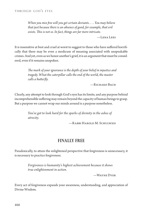*When you mix free will you get certain deviants. . . . You may believe that just because there is an absence of good, for example, that evil exists. This is not so. In fact, things are far more intricate.*

—Lena Lees

It is insensitive at best and cruel at worst to suggest to those who have suffered horrifically that there may be even a modicum of meaning associated with unspeakable crimes. And yet, even as we honor another's grief, it is an argument that must be considered, even if it remains unspoken.

> *The mark of your ignorance is the depth of your belief in injustice and tragedy. What the caterpillar calls the end of the world, the master calls a butterfly.*

> > —Richard Bach

Clearly, any attempt to look through God's eyes has its limits; and any purpose behind incomprehensible suffering may remain beyond the capacity of human beings to grasp. But a purpose we cannot wrap our minds around is a purpose nonetheless.

> *You've got to look hard for the sparks of divinity in the ashes of atrocity.*

> > —Rabbi Harold M. Schulweis

### **FINALLY FREE**

Paradoxically, to attain the enlightened perspective that forgiveness is unnecessary, it is necessary to practice forgiveness.

> *Forgiveness is humanity's highest achievement because it shows true enlightenment in action.*

> > —Wayne Dyer

Every act of forgiveness expands your awareness, understanding, and appreciation of Divine Wisdom.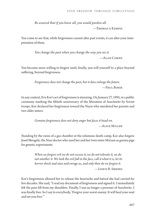*Be assured that if you knew all, you would pardon all.*

—Thomas à Kempis

You come to see that, while forgiveness cannot alter past events, it can alter your interpretation of them.

*You change the past when you change the way you see it.*

—Alan Cohen

You become more willing to forgive until, finally, you will yourself to a place beyond suffering, beyond forgiveness.

> *Forgiveness does not change the past, but it does enlarge the future.* —Paul Boese

In any context, Eva Kor's act of forgiveness is stunning. On January 27, 1995, in a public ceremony marking the fiftieth anniversary of the liberation of Auschwitz by Soviet troops, Kor declared her forgiveness toward the Nazis who murdered her parents and two older sisters.

> *Genuine forgiveness does not deny anger but faces it head-on.* —Alice Miller

Standing by the ruins of a gas chamber at the infamous death camp, Kor also forgave Josef Mengele, the Nazi doctor who used her and her twin sister Miriam as guinea pigs for genetic experiments.

> *When we forgive evil we do not excuse it, we do not tolerate it, we do not smother it. We look the evil full in the face, call it what it is, let its horror shock and stun and enrage us, and only then do we forgive it.*

> > —Lewis B. Smedes

Kor's forgiveness allowed her to release the heartache and hatred she had carried for five decades. She said, "I read my document of forgiveness and signed it. I immediately felt the pain lift from my shoulders. Finally, I was no longer a prisoner of Auschwitz. I was finally free. So I say to everybody, 'Forgive your worst enemy. It will heal your soul and set you free.'"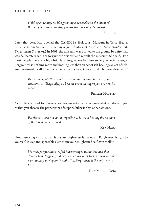*Holding on to anger is like grasping a hot coal with the intent of throwing it at someone else; you are the one who gets burned.*

—Buddha

Later that year, Kor opened the CANDLES Holocaust Museum in Terre Haute, Indiana. (*CANDLES is an acronym for Children of Auschwitz Nazi Deadly Lab Experiments Survivors.*) In 2003, the museum was burned to the ground by a fire that was deliberately set. Kor forgave the arsonist and rebuilt the museum. She said, "For most people there is a big obstacle to forgiveness because society expects revenge. Forgiveness is nothing more and nothing less than an act of self-healing, an act of selfempowerment. I call it a miracle medicine. It's free, it works, and it has no side effects."

> *Resentment, whether cold fury or smoldering rage, hardens your emotions. . . . Tragically, you become one with anger; you are now its servant.*

> > —Phillip Moffitt

As Eva Kor learned, forgiveness does not mean that you condone what was done to you or that you absolve the perpetrator of responsibility for his or her actions.

> *Forgiveness does not equal forgetting. It is about healing the memory of the harm, not erasingit.*

> > —Ken Hart

How deserving your assailant is of your forgiveness is irrelevant. Forgiveness is a gift to yourself. It is an indispensable element in your enlightened self-care toolkit.

> *We must forgive those we feel have wronged us, not because they deserve to be forgiven, but because we love ourselves so much we don't want to keep paying for the injustice. Forgiveness is the only way to heal.*

> > —Don Miguel Ruiz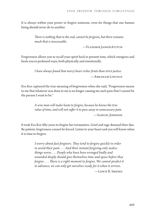It is always within your power to forgive someone, even for things that one human being should never do to another.

> *There is nothing that in the end, cannot be forgiven, but there remains much that is inexcusable.*

> > —Vladimir Jankélévitch

Forgiveness allows you to recall your spirit back to present time, which energizes and heals you in profound ways, both physically and emotionally.

> *I have always found that mercy bears richer fruits than strict justice.* —Abraham Lincoln

Eva Kor captured the true meaning of forgiveness when she said, "Forgiveness means to me that whatever was done to me is no longer causing me such pain that I cannot be the person I want to be."

> *A wise man will make haste to forgive, because he knows the true value of time, and will not suffer it to pass away in unnecessary pain.*

—Samuel Johnson

It took Eva Kor fifty years to forgive her tormentors. Grief and rage demand their due. Be patient; forgiveness cannot be forced. Listen to your heart and you will know when it is time to forgive.

> *I worry about fast forgivers. They tend to forgive quickly in order to avoid their pain. . . . And their instant forgiving only makes things worse. . . . People who have been wronged badly and wounded deeply should give themselves time and space before they forgive. . . . There is a right moment to forgive. We cannot predict it in advance; we can only get ourselves ready for it when it arrives.*

> > —Lewis B. Smedes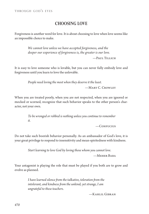### **CHOOSING LOVE**

Forgiveness is another word for love. It is about choosing to love when love seems like an impossible choice to make.

> *We cannot love unless we have accepted forgiveness, and the deeper our experience of forgiveness is, the greater is our love.*

> > —Paul Tillich

It is easy to love someone who is lovable, but you can never fully embody love and forgiveness until you learn to love the unlovable.

*People need loving the most when they deserve it the least.*

—Mary C. Crowley

When you are treated poorly, when you are not respected, when you are ignored or mocked or scorned, recognize that such behavior speaks to the other person's character, not your own.

> *To be wronged or robbed is nothing unless you continue to remember it.*

> > —Confucius

Do not take such boorish behavior personally. As an ambassador of God's love, it is your great privilege to respond to insensitivity and mean-spiritedness with kindness.

> *Start learning to love God by loving those whom you cannot love.* —Meher Baba

Your antagonist is playing the role that must be played if you both are to grow and evolve as planned.

> *I have learned silence from the talkative, toleration from the intolerant, and kindness from the unkind; yet strange, I am ungrateful to these teachers.*

> > —Kahlil Gibran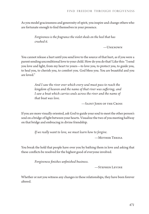As you model graciousness and generosity of spirit, you inspire and change others who are fortunate enough to find themselves in your presence.

> *Forgiveness is the fragrance the violet sheds on the heel that has crushed it.*

> > $-U$ NKNOWN

You cannot release a hurt until you send love to the source of that hurt, as if you were a parent sending unconditional love to your child. How do you do that? Like this: "I send you love and light, from my heart to yours—to love you, to protect you, to guide you, to heal you, to cherish you, to comfort you. God bless you. You are beautiful and you are loved."

> *And I saw the river over which every soul must pass to reach the kingdom of heaven and the name of that river was suffering; and I saw a boat which carries souls across the river and the name of that boat was love.*

> > —Saint John of the Cross

If you are more visually oriented, ask God to guide your soul to meet the other person's soul on a bridge of light between your hearts. Visualize the two of you meeting halfway on that bridge and embracing in divine friendship.

> *If we really want to love, we must learn how to forgive.* —Mother Teresa

You break the hold that people have over you by bathing them in love and asking that these conflicts be resolved for the highest good of everyone involved.

*Forgiveness finishes unfinished business.*

—Stephen Levine

Whether or not you witness any changes in these relationships, they have been forever altered.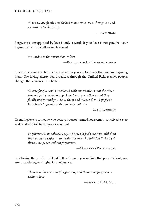*When we are firmly established in nonviolence, all beings around us cease to feel hostility.*

—Patanjali

Forgiveness unsupported by love is only a word. If your love is not genuine, your forgiveness will be shallow and transient.

*We pardon to the extent that we love.*

—François de La Rochefoucauld

It is not necessary to tell the people whom you are forgiving that you are forgiving them. The loving energy you broadcast through the Unified Field reaches people, changes them, makes them better.

> *Sincere forgiveness isn't colored with expectations that the other person apologize or change. Don't worry whether or not they finally understand you. Love them and release them. Life feeds back truth to people in its own way and time.*

> > —Sara Paddison

If sending love to someone who betrayed you or harmed you seems inconceivable, step aside and ask God to use you as a conduit.

> *Forgiveness is not always easy. At times, it feels more painful than the wound we suffered, to forgive the one who inflicted it. And yet, there is no peace without forgiveness.*

> > —Marianne Williamson

By allowing the pure love of God to flow through you and into that person's heart, you are surrendering to a higher form of justice.

> *There is no love without forgiveness, and there is no forgiveness without love.*

> > —Bryant H. McGill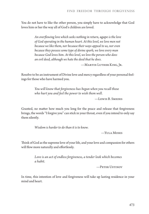You do not have to like the other person, you simply have to acknowledge that God loves him or her the way all of God's children are loved.

> *An overflowing love which seeks nothing in return,* agape *is the love of God operating in the human heart. At this level, we love men not because we like them, nor because their ways appeal to us, nor even because they possess some type of divine spark; we love every man because God loves him. At this level, we love the person who does an evil deed, although we hate the deed that he does.*

> > —Martin Luther King, Jr.

Resolve to be an instrument of Divine love and mercy regardless of your personal feelings for those who have harmed you.

> *You will know that forgiveness has begun when you recall those who hurt you and feel the power to wish them well.*

> > —Lewis B. Smedes

Granted, no matter how much you long for the peace and release that forgiveness brings, the words "I forgive you" can stick in your throat, even if you intend to only say them silently.

*Wisdom is harder to do than it is to know.*

—Yula Moses

Think of God as the supreme love of your life, and your love and compassion for others will flow more naturally and effortlessly.

> *Love is an act of endless forgiveness, a tender look which becomes a habit.*

> > —Peter Ustinov

In time, this intention of love and forgiveness will take up lasting residence in your mind and heart.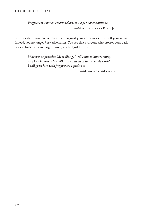*Forgiveness is not an occasional act; it is a permanent attitude.* —Martin Luther King, Jr.

In this state of awareness, resentment against your adversaries drops off your radar. Indeed, you no longer *have* adversaries. You see that everyone who crosses your path does so to deliver a message divinely crafted just for you.

> *Whoever approaches Me walking, I will come to him running; and he who meets Me with sins equivalent to the whole world, I will greet him with forgiveness equal to it.*

> > —Mishkat al-Masabih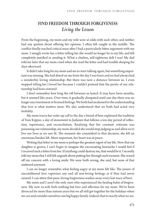### **FIND FREEDOM THROUGH FORGIVENESS** *Living the Lesson*

From the beginning, my mom and my wife were at odds with each other, and neither had any qualms about offering her opinion. I often felt caught in the middle. The conflict finally reached critical mass after I had a particularly bitter argument with my mom. I smugly wrote her a letter telling her she would no longer be in my life, and felt completely justified in sending it. What a clueless, self-righteous dolt I was! My dad told me later that my mom cried when she read the letter and had trouble sleeping for days afterward.

It didn't take long for my mom and me to start talking again, but something important was missing. She had doted on me from the day I was born and we had always had a wonderful, loving relationship. But there was now a distance between us. I even stopped telling her I loved her because I couldn't pretend that the purity of our relationship had been restored.

I don't remember how long the rift between us lasted. It may have been months, but it seemed like years. Over time, it gradually dissipated until one day there was no longer any resentment or bruised feelings. We both had awakened to the understanding that love is what matters most. We also understood that we both had acted very foolishly.

My mom traces her wake-up call to the day a friend of hers explained the tradition of Yom Kippur, a day of atonement in Judaism that follows a ten-day period of reflection, repentance, and reconciliation. Realizing that her constant criticism was poisoning our relationship, my mom decided she would stop judging us and allow us to live our lives as we saw fit. The moment she committed to that decision, she felt an enormous burden lift. More important, her heart was at peace.

Writing that letter to my mom is perhaps the greatest regret of my life. Now that my daughter is grown, I can't begin to imagine the excruciating heartache I would feel if I received such a letter from her. If anything could destroy me, that would be it. I recently told my mom that I still felt anguish about putting her through such torment. She waved off my concern with a loving smile. We were both wrong, she said, but none of that mattered anymore.

I can no longer remember what feeling angry at my mom felt like. The power of unconditional love vaporizes any and all non-loving feelings as if they had never existed. I can attest that pure, loving forgiveness washes away every last trace of hurt.

My mom and I aren't the only ones who experienced the healing balm of forgiveness. My now ex-wife feels nothing but love and affection for my mom. We've been divorced for more than sixteen years but we all still get together for the holidays when we can and consider ourselves one big happy family. Indeed, that is exactly what we are.